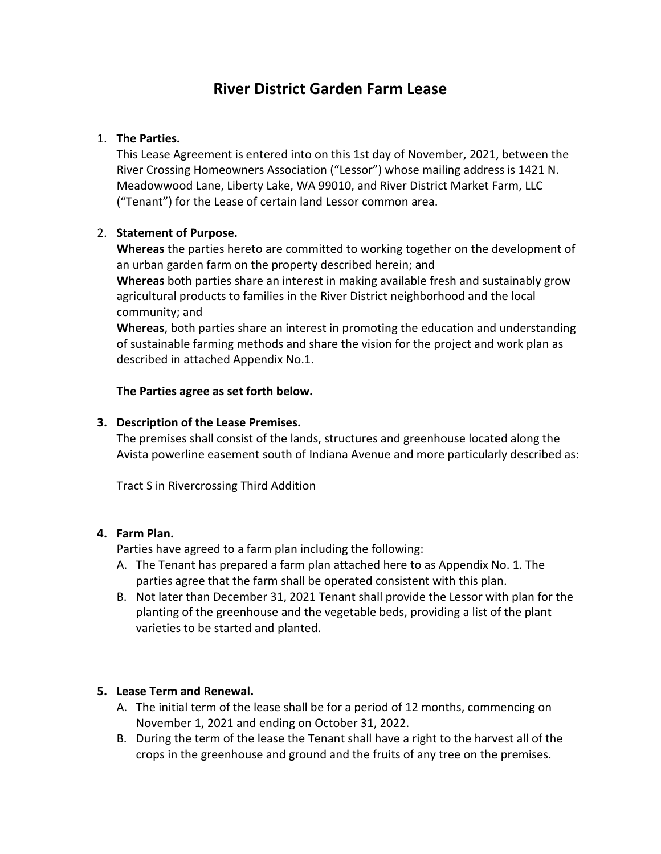## **River District Garden Farm Lease**

## 1. **The Parties.**

This Lease Agreement is entered into on this 1st day of November, 2021, between the River Crossing Homeowners Association ("Lessor") whose mailing address is 1421 N. Meadowwood Lane, Liberty Lake, WA 99010, and River District Market Farm, LLC ("Tenant") for the Lease of certain land Lessor common area.

## 2. **Statement of Purpose.**

**Whereas** the parties hereto are committed to working together on the development of an urban garden farm on the property described herein; and **Whereas** both parties share an interest in making available fresh and sustainably grow agricultural products to families in the River District neighborhood and the local community; and

**Whereas**, both parties share an interest in promoting the education and understanding of sustainable farming methods and share the vision for the project and work plan as described in attached Appendix No.1.

## **The Parties agree as set forth below.**

## **3. Description of the Lease Premises.**

The premises shall consist of the lands, structures and greenhouse located along the Avista powerline easement south of Indiana Avenue and more particularly described as:

Tract S in Rivercrossing Third Addition

## **4. Farm Plan.**

Parties have agreed to a farm plan including the following:

- A. The Tenant has prepared a farm plan attached here to as Appendix No. 1. The parties agree that the farm shall be operated consistent with this plan.
- B. Not later than December 31, 2021 Tenant shall provide the Lessor with plan for the planting of the greenhouse and the vegetable beds, providing a list of the plant varieties to be started and planted.

## **5. Lease Term and Renewal.**

- A. The initial term of the lease shall be for a period of 12 months, commencing on November 1, 2021 and ending on October 31, 2022.
- B. During the term of the lease the Tenant shall have a right to the harvest all of the crops in the greenhouse and ground and the fruits of any tree on the premises.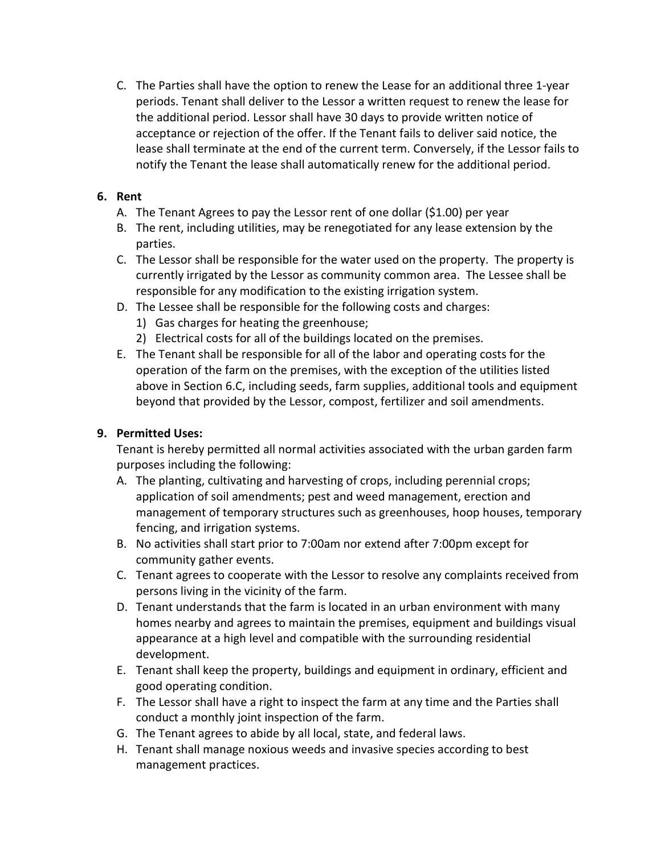C. The Parties shall have the option to renew the Lease for an additional three 1-year periods. Tenant shall deliver to the Lessor a written request to renew the lease for the additional period. Lessor shall have 30 days to provide written notice of acceptance or rejection of the offer. If the Tenant fails to deliver said notice, the lease shall terminate at the end of the current term. Conversely, if the Lessor fails to notify the Tenant the lease shall automatically renew for the additional period.

## **6. Rent**

- A. The Tenant Agrees to pay the Lessor rent of one dollar (\$1.00) per year
- B. The rent, including utilities, may be renegotiated for any lease extension by the parties.
- C. The Lessor shall be responsible for the water used on the property. The property is currently irrigated by the Lessor as community common area. The Lessee shall be responsible for any modification to the existing irrigation system.
- D. The Lessee shall be responsible for the following costs and charges:
	- 1) Gas charges for heating the greenhouse;
	- 2) Electrical costs for all of the buildings located on the premises.
- E. The Tenant shall be responsible for all of the labor and operating costs for the operation of the farm on the premises, with the exception of the utilities listed above in Section 6.C, including seeds, farm supplies, additional tools and equipment beyond that provided by the Lessor, compost, fertilizer and soil amendments.

## **9. Permitted Uses:**

Tenant is hereby permitted all normal activities associated with the urban garden farm purposes including the following:

- A. The planting, cultivating and harvesting of crops, including perennial crops; application of soil amendments; pest and weed management, erection and management of temporary structures such as greenhouses, hoop houses, temporary fencing, and irrigation systems.
- B. No activities shall start prior to 7:00am nor extend after 7:00pm except for community gather events.
- C. Tenant agrees to cooperate with the Lessor to resolve any complaints received from persons living in the vicinity of the farm.
- D. Tenant understands that the farm is located in an urban environment with many homes nearby and agrees to maintain the premises, equipment and buildings visual appearance at a high level and compatible with the surrounding residential development.
- E. Tenant shall keep the property, buildings and equipment in ordinary, efficient and good operating condition.
- F. The Lessor shall have a right to inspect the farm at any time and the Parties shall conduct a monthly joint inspection of the farm.
- G. The Tenant agrees to abide by all local, state, and federal laws.
- H. Tenant shall manage noxious weeds and invasive species according to best management practices.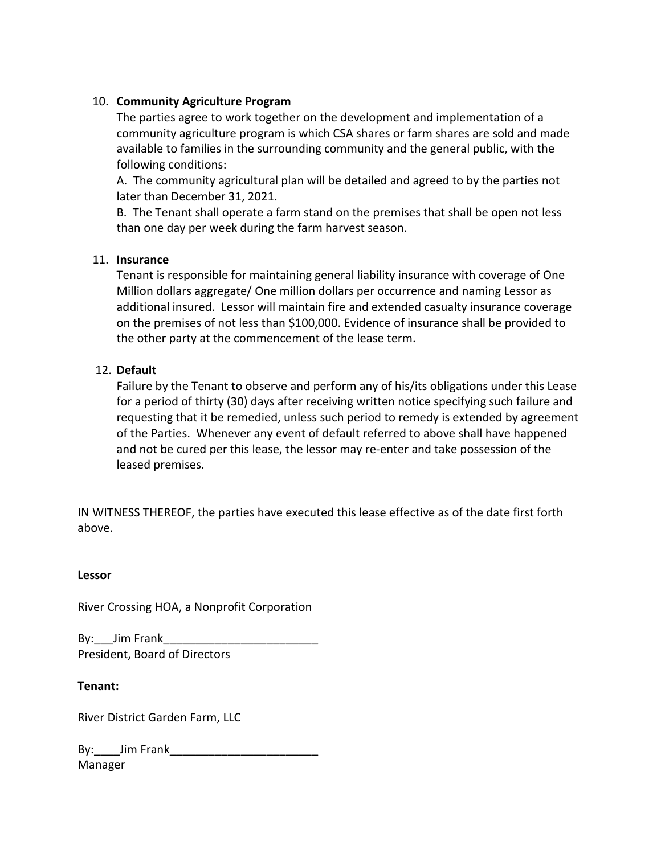## 10. **Community Agriculture Program**

The parties agree to work together on the development and implementation of a community agriculture program is which CSA shares or farm shares are sold and made available to families in the surrounding community and the general public, with the following conditions:

A. The community agricultural plan will be detailed and agreed to by the parties not later than December 31, 2021.

B. The Tenant shall operate a farm stand on the premises that shall be open not less than one day per week during the farm harvest season.

## 11. **Insurance**

Tenant is responsible for maintaining general liability insurance with coverage of One Million dollars aggregate/ One million dollars per occurrence and naming Lessor as additional insured. Lessor will maintain fire and extended casualty insurance coverage on the premises of not less than \$100,000. Evidence of insurance shall be provided to the other party at the commencement of the lease term.

## 12. **Default**

Failure by the Tenant to observe and perform any of his/its obligations under this Lease for a period of thirty (30) days after receiving written notice specifying such failure and requesting that it be remedied, unless such period to remedy is extended by agreement of the Parties. Whenever any event of default referred to above shall have happened and not be cured per this lease, the lessor may re-enter and take possession of the leased premises.

IN WITNESS THEREOF, the parties have executed this lease effective as of the date first forth above.

## **Lessor**

River Crossing HOA, a Nonprofit Corporation

By: Jim Frank President, Board of Directors

## **Tenant:**

River District Garden Farm, LLC

|         | By: Jim Frank |  |
|---------|---------------|--|
| Manager |               |  |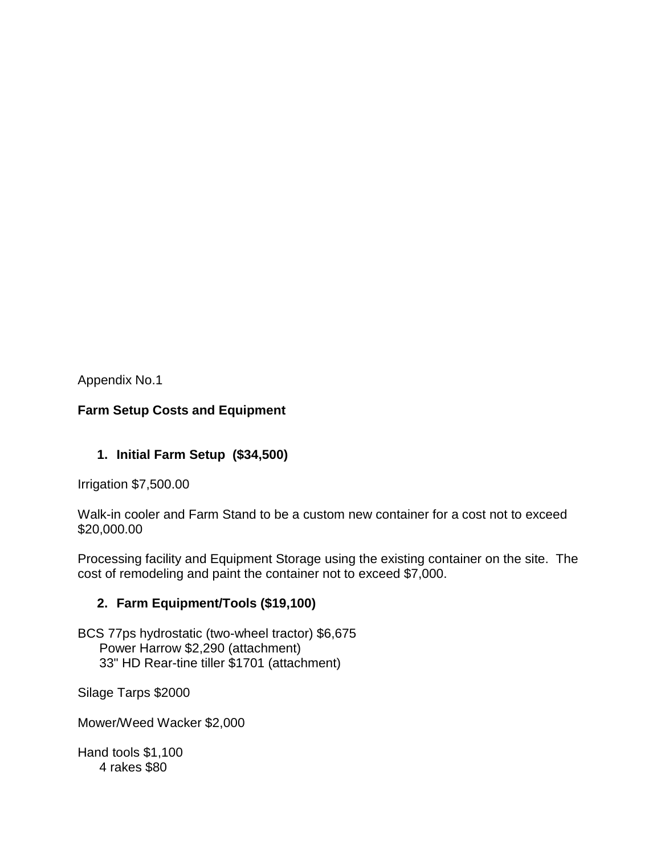Appendix No.1

## **Farm Setup Costs and Equipment**

## **1. Initial Farm Setup (\$34,500)**

Irrigation \$7,500.00

Walk-in cooler and Farm Stand to be a custom new container for a cost not to exceed \$20,000.00

Processing facility and Equipment Storage using the existing container on the site. The cost of remodeling and paint the container not to exceed \$7,000.

## **2. Farm Equipment/Tools (\$19,100)**

BCS 77ps hydrostatic (two-wheel tractor) \$6,675 Power Harrow \$2,290 (attachment) 33" HD Rear-tine tiller \$1701 (attachment)

Silage Tarps \$2000

Mower/Weed Wacker \$2,000

Hand tools \$1,100 4 rakes \$80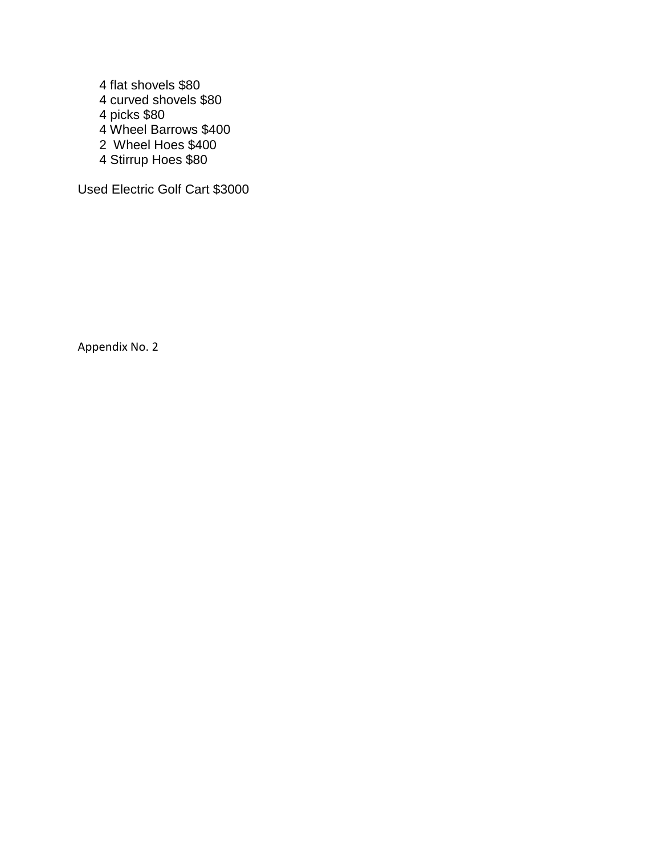4 flat shovels \$80 4 curved shovels \$80 4 picks \$80 4 Wheel Barrows \$400 2 Wheel Hoes \$400 4 Stirrup Hoes \$80

Used Electric Golf Cart \$3000

Appendix No. 2